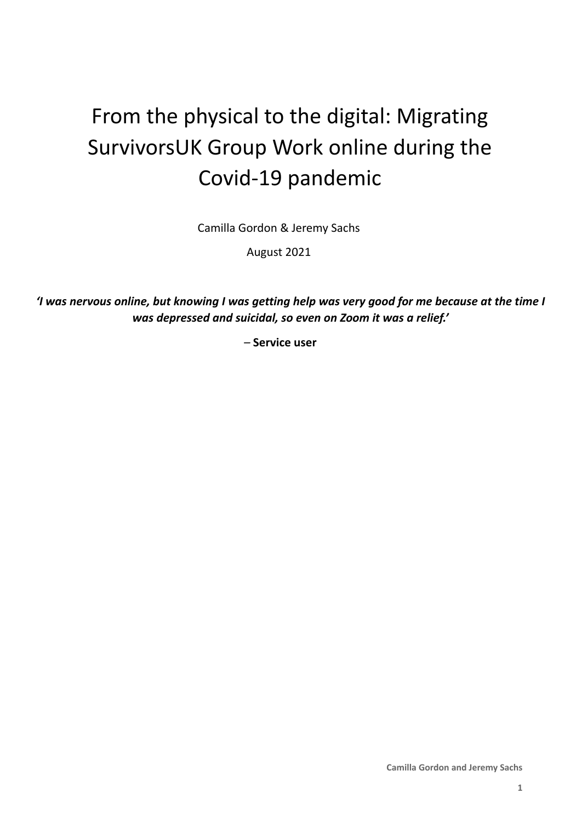# From the physical to the digital: Migrating SurvivorsUK Group Work online during the Covid-19 pandemic

Camilla Gordon & Jeremy Sachs

August 2021

'I was nervous online, but knowing I was getting help was very good for me because at the time I *was depressed and suicidal, so even on Zoom it was a relief.'*

*–* **Service user**

**Camilla Gordon and Jeremy Sachs**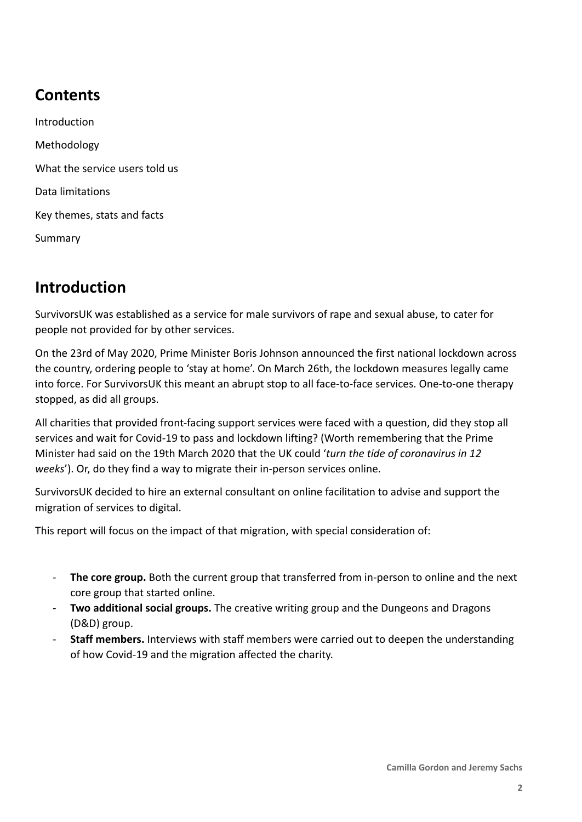# **Contents**

Introduction Methodology What the service users told us Data limitations Key themes, stats and facts Summary

# **Introduction**

SurvivorsUK was established as a service for male survivors of rape and sexual abuse, to cater for people not provided for by other services.

On the 23rd of May 2020, Prime Minister Boris Johnson announced the first national lockdown across the country, ordering people to 'stay at home'. On March 26th, the lockdown measures legally came into force. For SurvivorsUK this meant an abrupt stop to all face-to-face services. One-to-one therapy stopped, as did all groups.

All charities that provided front-facing support services were faced with a question, did they stop all services and wait for Covid-19 to pass and lockdown lifting? (Worth remembering that the Prime Minister had said on the 19th March 2020 that the UK could '*turn the tide of coronavirus in 12 weeks*'). Or, do they find a way to migrate their in-person services online.

SurvivorsUK decided to hire an external consultant on online facilitation to advise and support the migration of services to digital.

This report will focus on the impact of that migration, with special consideration of:

- The core group. Both the current group that transferred from in-person to online and the next core group that started online.
- **Two additional social groups.** The creative writing group and the Dungeons and Dragons (D&D) group.
- **Staff members.** Interviews with staff members were carried out to deepen the understanding of how Covid-19 and the migration affected the charity.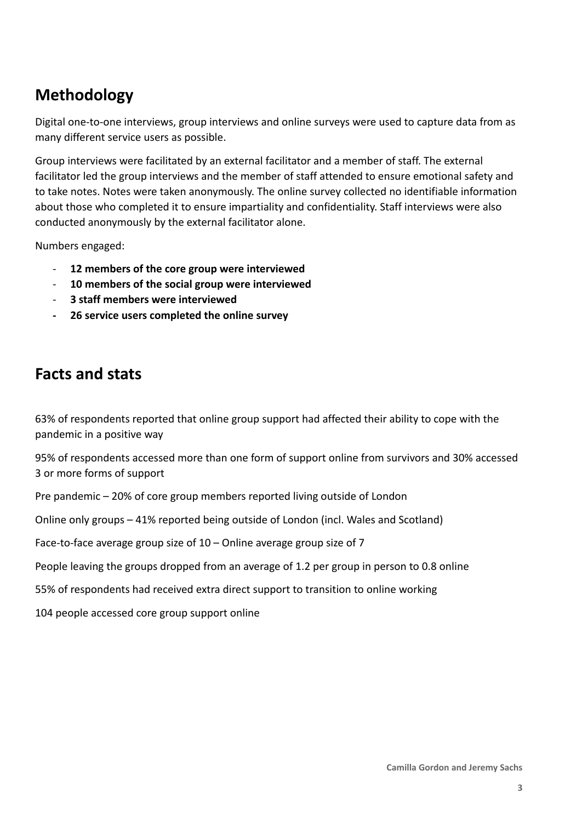## **Methodology**

Digital one-to-one interviews, group interviews and online surveys were used to capture data from as many different service users as possible.

Group interviews were facilitated by an external facilitator and a member of staff. The external facilitator led the group interviews and the member of staff attended to ensure emotional safety and to take notes. Notes were taken anonymously. The online survey collected no identifiable information about those who completed it to ensure impartiality and confidentiality. Staff interviews were also conducted anonymously by the external facilitator alone.

Numbers engaged:

- **12 members of the core group were interviewed**
- **10 members of the social group were interviewed**
- **3 staff members were interviewed**
- **- 26 service users completed the online survey**

### **Facts and stats**

63% of respondents reported that online group support had affected their ability to cope with the pandemic in a positive way

95% of respondents accessed more than one form of support online from survivors and 30% accessed 3 or more forms of support

Pre pandemic – 20% of core group members reported living outside of London

Online only groups – 41% reported being outside of London (incl. Wales and Scotland)

Face-to-face average group size of 10 – Online average group size of 7

People leaving the groups dropped from an average of 1.2 per group in person to 0.8 online

55% of respondents had received extra direct support to transition to online working

104 people accessed core group support online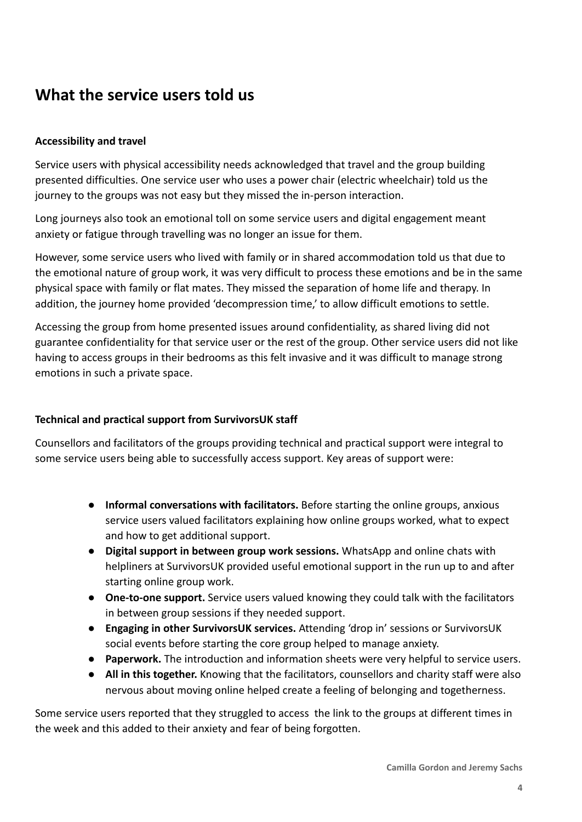### **What the service users told us**

#### **Accessibility and travel**

Service users with physical accessibility needs acknowledged that travel and the group building presented difficulties. One service user who uses a power chair (electric wheelchair) told us the journey to the groups was not easy but they missed the in-person interaction.

Long journeys also took an emotional toll on some service users and digital engagement meant anxiety or fatigue through travelling was no longer an issue for them.

However, some service users who lived with family or in shared accommodation told us that due to the emotional nature of group work, it was very difficult to process these emotions and be in the same physical space with family or flat mates. They missed the separation of home life and therapy. In addition, the journey home provided 'decompression time,' to allow difficult emotions to settle.

Accessing the group from home presented issues around confidentiality, as shared living did not guarantee confidentiality for that service user or the rest of the group. Other service users did not like having to access groups in their bedrooms as this felt invasive and it was difficult to manage strong emotions in such a private space.

#### **Technical and practical support from SurvivorsUK staff**

Counsellors and facilitators of the groups providing technical and practical support were integral to some service users being able to successfully access support. Key areas of support were:

- **Informal conversations with facilitators.** Before starting the online groups, anxious service users valued facilitators explaining how online groups worked, what to expect and how to get additional support.
- **Digital support in between group work sessions.** WhatsApp and online chats with helpliners at SurvivorsUK provided useful emotional support in the run up to and after starting online group work.
- **One-to-one support.** Service users valued knowing they could talk with the facilitators in between group sessions if they needed support.
- **Engaging in other SurvivorsUK services.** Attending 'drop in' sessions or SurvivorsUK social events before starting the core group helped to manage anxiety.
- **Paperwork.** The introduction and information sheets were very helpful to service users.
- **All in this together.** Knowing that the facilitators, counsellors and charity staff were also nervous about moving online helped create a feeling of belonging and togetherness.

Some service users reported that they struggled to access the link to the groups at different times in the week and this added to their anxiety and fear of being forgotten.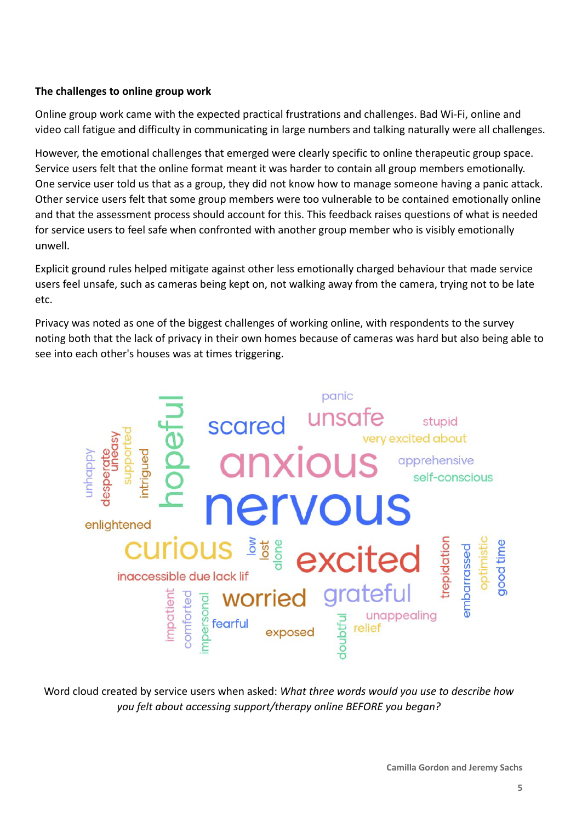#### **The challenges to online group work**

Online group work came with the expected practical frustrations and challenges. Bad Wi-Fi, online and video call fatigue and difficulty in communicating in large numbers and talking naturally were all challenges.

However, the emotional challenges that emerged were clearly specific to online therapeutic group space. Service users felt that the online format meant it was harder to contain all group members emotionally. One service user told us that as a group, they did not know how to manage someone having a panic attack. Other service users felt that some group members were too vulnerable to be contained emotionally online and that the assessment process should account for this. This feedback raises questions of what is needed for service users to feel safe when confronted with another group member who is visibly emotionally unwell.

Explicit ground rules helped mitigate against other less emotionally charged behaviour that made service users feel unsafe, such as cameras being kept on, not walking away from the camera, trying not to be late etc.

Privacy was noted as one of the biggest challenges of working online, with respondents to the survey noting both that the lack of privacy in their own homes because of cameras was hard but also being able to see into each other's houses was at times triggering.



Word cloud created by service users when asked: *What three words would you use to describe how you felt about accessing support/therapy online BEFORE you began?*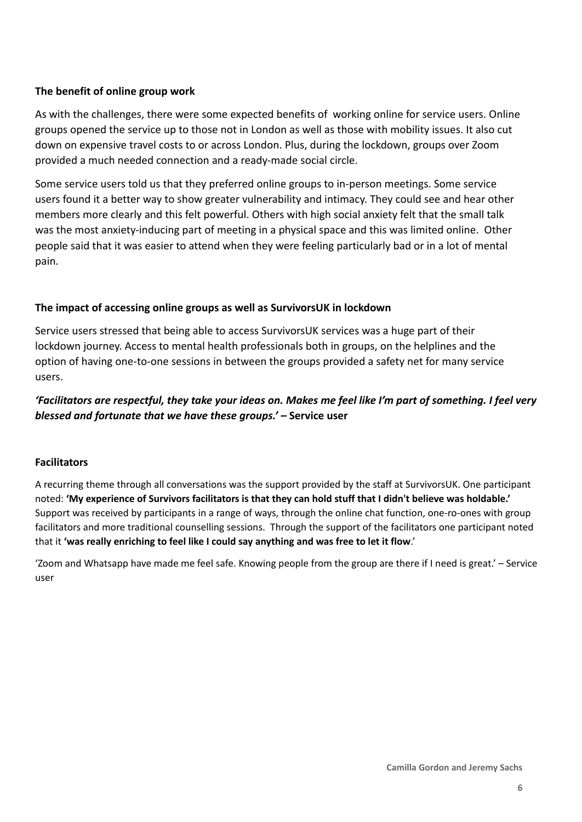#### **The benefit of online group work**

As with the challenges, there were some expected benefits of working online for service users. Online groups opened the service up to those not in London as well as those with mobility issues. It also cut down on expensive travel costs to or across London. Plus, during the lockdown, groups over Zoom provided a much needed connection and a ready-made social circle.

Some service users told us that they preferred online groups to in-person meetings. Some service users found it a better way to show greater vulnerability and intimacy. They could see and hear other members more clearly and this felt powerful. Others with high social anxiety felt that the small talk was the most anxiety-inducing part of meeting in a physical space and this was limited online. Other people said that it was easier to attend when they were feeling particularly bad or in a lot of mental pain.

#### **The impact of accessing online groups as well as SurvivorsUK in lockdown**

Service users stressed that being able to access SurvivorsUK services was a huge part of their lockdown journey. Access to mental health professionals both in groups, on the helplines and the option of having one-to-one sessions in between the groups provided a safety net for many service users.

#### *'Facilitators are respectful, they take your ideas on. Makes me feel like I'm part of something. I feel very blessed and fortunate that we have these groups.' –* **Service user**

#### **Facilitators**

A recurring theme through all conversations was the support provided by the staff at SurvivorsUK. One participant noted: 'My experience of Survivors facilitators is that they can hold stuff that I didn't believe was holdable.' Support was received by participants in a range of ways, through the online chat function, one-ro-ones with group facilitators and more traditional counselling sessions. Through the support of the facilitators one participant noted that it **'was really enriching to feel like I could say anything and was free to let it flow**.'

'Zoom and Whatsapp have made me feel safe. Knowing people from the group are there if I need is great.' – Service user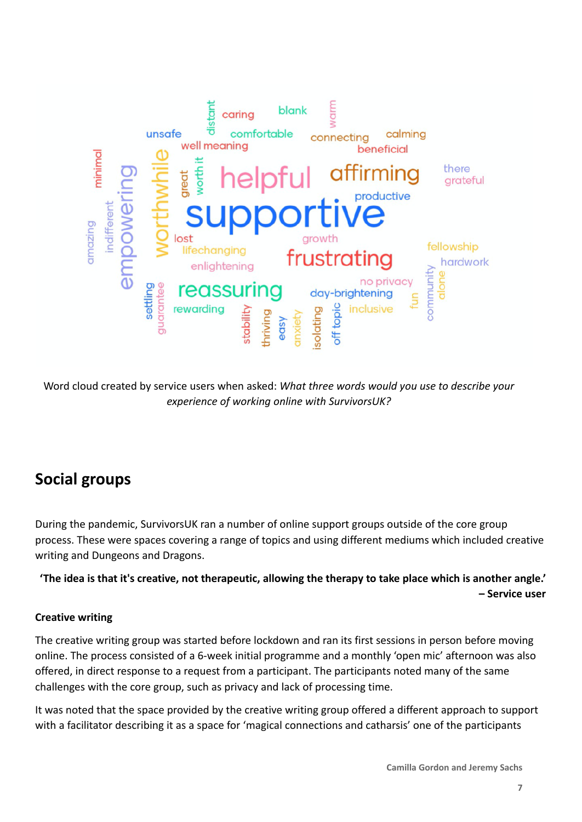

Word cloud created by service users when asked: *What three words would you use to describe your experience of working online with SurvivorsUK?*

# **Social groups**

During the pandemic, SurvivorsUK ran a number of online support groups outside of the core group process. These were spaces covering a range of topics and using different mediums which included creative writing and Dungeons and Dragons.

**'The idea is that it's creative, not therapeutic, allowing the therapy to take place which is another angle.' – Service user**

#### **Creative writing**

The creative writing group was started before lockdown and ran its first sessions in person before moving online. The process consisted of a 6-week initial programme and a monthly 'open mic' afternoon was also offered, in direct response to a request from a participant. The participants noted many of the same challenges with the core group, such as privacy and lack of processing time.

It was noted that the space provided by the creative writing group offered a different approach to support with a facilitator describing it as a space for 'magical connections and catharsis' one of the participants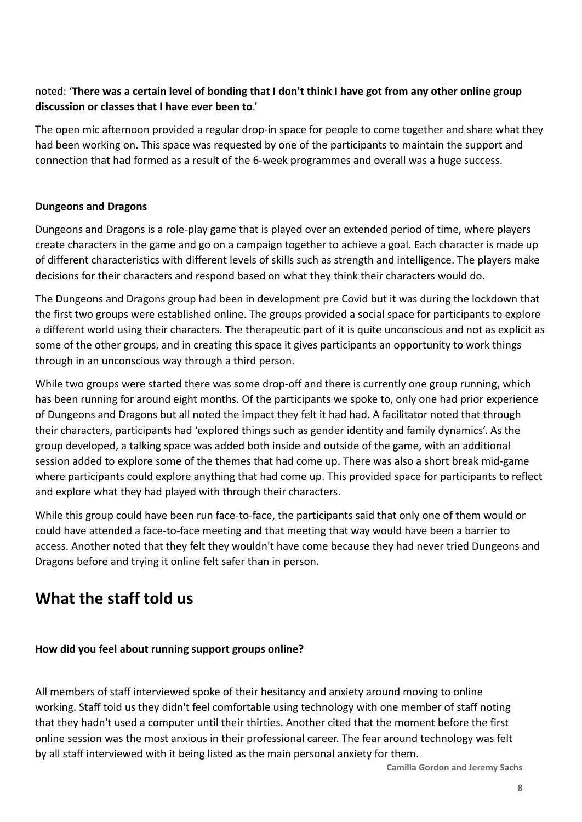#### noted: '**There was a certain level of bonding that I don't think I have got from any other online group discussion or classes that I have ever been to**.'

The open mic afternoon provided a regular drop-in space for people to come together and share what they had been working on. This space was requested by one of the participants to maintain the support and connection that had formed as a result of the 6-week programmes and overall was a huge success.

#### **Dungeons and Dragons**

Dungeons and Dragons is a role-play game that is played over an extended period of time, where players create characters in the game and go on a campaign together to achieve a goal. Each character is made up of different characteristics with different levels of skills such as strength and intelligence. The players make decisions for their characters and respond based on what they think their characters would do.

The Dungeons and Dragons group had been in development pre Covid but it was during the lockdown that the first two groups were established online. The groups provided a social space for participants to explore a different world using their characters. The therapeutic part of it is quite unconscious and not as explicit as some of the other groups, and in creating this space it gives participants an opportunity to work things through in an unconscious way through a third person.

While two groups were started there was some drop-off and there is currently one group running, which has been running for around eight months. Of the participants we spoke to, only one had prior experience of Dungeons and Dragons but all noted the impact they felt it had had. A facilitator noted that through their characters, participants had 'explored things such as gender identity and family dynamics'. As the group developed, a talking space was added both inside and outside of the game, with an additional session added to explore some of the themes that had come up. There was also a short break mid-game where participants could explore anything that had come up. This provided space for participants to reflect and explore what they had played with through their characters.

While this group could have been run face-to-face, the participants said that only one of them would or could have attended a face-to-face meeting and that meeting that way would have been a barrier to access. Another noted that they felt they wouldn't have come because they had never tried Dungeons and Dragons before and trying it online felt safer than in person.

### **What the staff told us**

#### **How did you feel about running support groups online?**

All members of staff interviewed spoke of their hesitancy and anxiety around moving to online working. Staff told us they didn't feel comfortable using technology with one member of staff noting that they hadn't used a computer until their thirties. Another cited that the moment before the first online session was the most anxious in their professional career. The fear around technology was felt by all staff interviewed with it being listed as the main personal anxiety for them.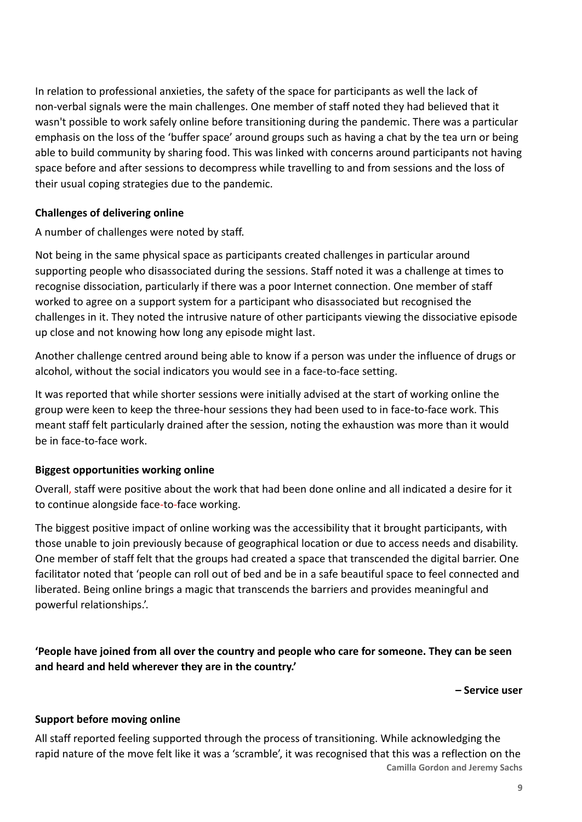In relation to professional anxieties, the safety of the space for participants as well the lack of non-verbal signals were the main challenges. One member of staff noted they had believed that it wasn't possible to work safely online before transitioning during the pandemic. There was a particular emphasis on the loss of the 'buffer space' around groups such as having a chat by the tea urn or being able to build community by sharing food. This was linked with concerns around participants not having space before and after sessions to decompress while travelling to and from sessions and the loss of their usual coping strategies due to the pandemic.

#### **Challenges of delivering online**

A number of challenges were noted by staff.

Not being in the same physical space as participants created challenges in particular around supporting people who disassociated during the sessions. Staff noted it was a challenge at times to recognise dissociation, particularly if there was a poor Internet connection. One member of staff worked to agree on a support system for a participant who disassociated but recognised the challenges in it. They noted the intrusive nature of other participants viewing the dissociative episode up close and not knowing how long any episode might last.

Another challenge centred around being able to know if a person was under the influence of drugs or alcohol, without the social indicators you would see in a face-to-face setting.

It was reported that while shorter sessions were initially advised at the start of working online the group were keen to keep the three-hour sessions they had been used to in face-to-face work. This meant staff felt particularly drained after the session, noting the exhaustion was more than it would be in face-to-face work.

#### **Biggest opportunities working online**

Overall, staff were positive about the work that had been done online and all indicated a desire for it to continue alongside face-to-face working.

The biggest positive impact of online working was the accessibility that it brought participants, with those unable to join previously because of geographical location or due to access needs and disability. One member of staff felt that the groups had created a space that transcended the digital barrier. One facilitator noted that 'people can roll out of bed and be in a safe beautiful space to feel connected and liberated. Being online brings a magic that transcends the barriers and provides meaningful and powerful relationships.'.

**'People have joined from all over the country and people who care for someone. They can be seen and heard and held wherever they are in the country.'**

**– Service user**

#### **Support before moving online**

All staff reported feeling supported through the process of transitioning. While acknowledging the rapid nature of the move felt like it was a 'scramble', it was recognised that this was a reflection on the **Camilla Gordon and Jeremy Sachs**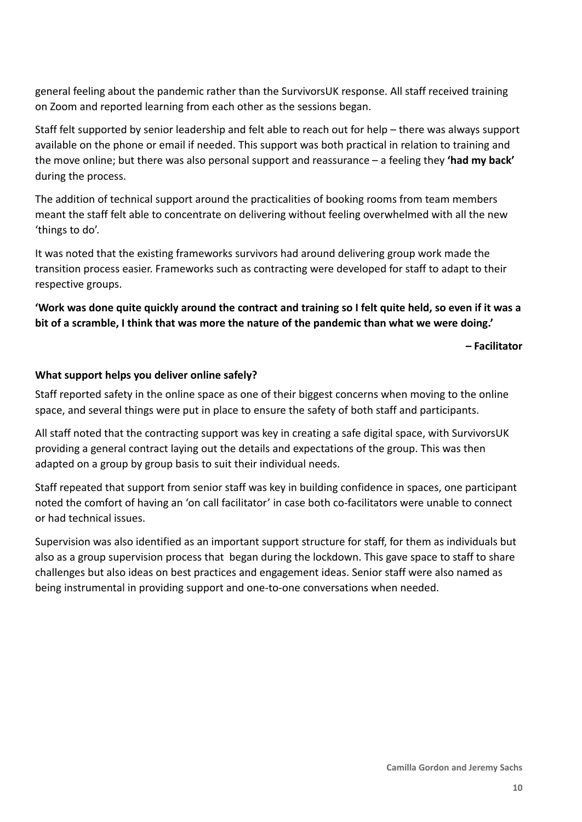general feeling about the pandemic rather than the SurvivorsUK response. All staff received training on Zoom and reported learning from each other as the sessions began.

Staff felt supported by senior leadership and felt able to reach out for help – there was always support available on the phone or email if needed. This support was both practical in relation to training and the move online; but there was also personal support and reassurance – a feeling they **'had my back'** during the process.

The addition of technical support around the practicalities of booking rooms from team members meant the staff felt able to concentrate on delivering without feeling overwhelmed with all the new 'things to do'.

It was noted that the existing frameworks survivors had around delivering group work made the transition process easier. Frameworks such as contracting were developed for staff to adapt to their respective groups.

#### **'Work was done quite quickly around the contract and training so I felt quite held, so even if it was a bit of a scramble, I think that was more the nature of the pandemic than what we were doing.'**

**– Facilitator**

#### **What support helps you deliver online safely?**

Staff reported safety in the online space as one of their biggest concerns when moving to the online space, and several things were put in place to ensure the safety of both staff and participants.

All staff noted that the contracting support was key in creating a safe digital space, with SurvivorsUK providing a general contract laying out the details and expectations of the group. This was then adapted on a group by group basis to suit their individual needs.

Staff repeated that support from senior staff was key in building confidence in spaces, one participant noted the comfort of having an 'on call facilitator' in case both co-facilitators were unable to connect or had technical issues.

Supervision was also identified as an important support structure for staff, for them as individuals but also as a group supervision process that began during the lockdown. This gave space to staff to share challenges but also ideas on best practices and engagement ideas. Senior staff were also named as being instrumental in providing support and one-to-one conversations when needed.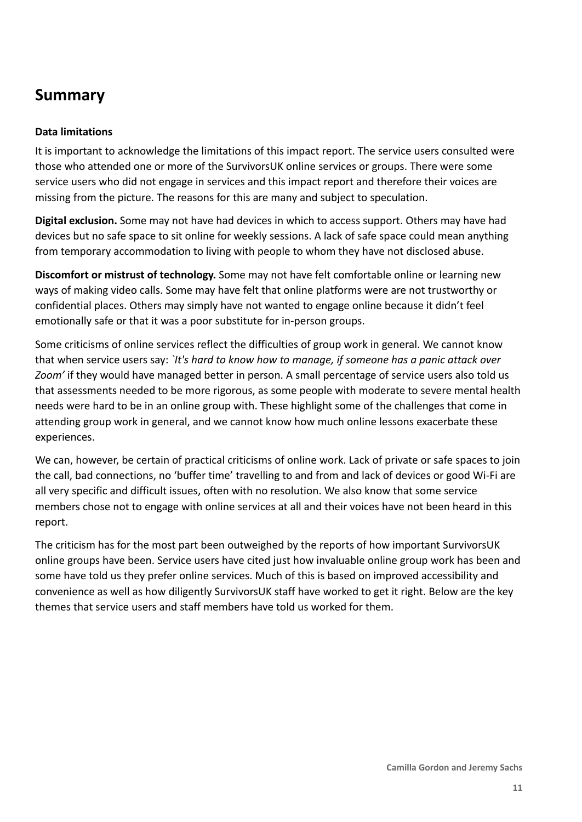### **Summary**

#### **Data limitations**

It is important to acknowledge the limitations of this impact report. The service users consulted were those who attended one or more of the SurvivorsUK online services or groups. There were some service users who did not engage in services and this impact report and therefore their voices are missing from the picture. The reasons for this are many and subject to speculation.

**Digital exclusion.** Some may not have had devices in which to access support. Others may have had devices but no safe space to sit online for weekly sessions. A lack of safe space could mean anything from temporary accommodation to living with people to whom they have not disclosed abuse.

**Discomfort or mistrust of technology.** Some may not have felt comfortable online or learning new ways of making video calls. Some may have felt that online platforms were are not trustworthy or confidential places. Others may simply have not wanted to engage online because it didn't feel emotionally safe or that it was a poor substitute for in-person groups.

Some criticisms of online services reflect the difficulties of group work in general. We cannot know that when service users say: *`It's hard to know how to manage, if someone has a panic attack over Zoom'* if they would have managed better in person. A small percentage of service users also told us that assessments needed to be more rigorous, as some people with moderate to severe mental health needs were hard to be in an online group with. These highlight some of the challenges that come in attending group work in general, and we cannot know how much online lessons exacerbate these experiences.

We can, however, be certain of practical criticisms of online work. Lack of private or safe spaces to join the call, bad connections, no 'buffer time' travelling to and from and lack of devices or good Wi-Fi are all very specific and difficult issues, often with no resolution. We also know that some service members chose not to engage with online services at all and their voices have not been heard in this report.

The criticism has for the most part been outweighed by the reports of how important SurvivorsUK online groups have been. Service users have cited just how invaluable online group work has been and some have told us they prefer online services. Much of this is based on improved accessibility and convenience as well as how diligently SurvivorsUK staff have worked to get it right. Below are the key themes that service users and staff members have told us worked for them.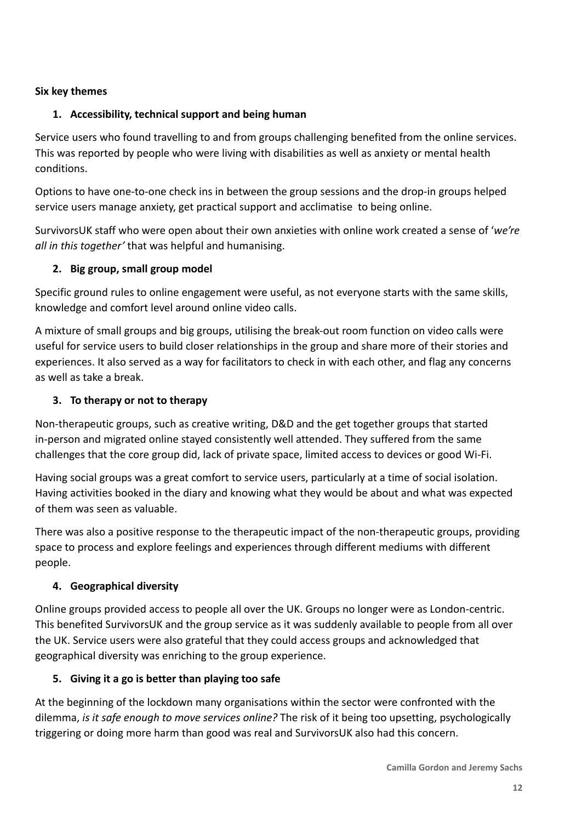#### **Six key themes**

#### **1. Accessibility, technical support and being human**

Service users who found travelling to and from groups challenging benefited from the online services. This was reported by people who were living with disabilities as well as anxiety or mental health conditions.

Options to have one-to-one check ins in between the group sessions and the drop-in groups helped service users manage anxiety, get practical support and acclimatise to being online.

SurvivorsUK staff who were open about their own anxieties with online work created a sense of '*we're all in this together'* that was helpful and humanising.

#### **2. Big group, small group model**

Specific ground rules to online engagement were useful, as not everyone starts with the same skills, knowledge and comfort level around online video calls.

A mixture of small groups and big groups, utilising the break-out room function on video calls were useful for service users to build closer relationships in the group and share more of their stories and experiences. It also served as a way for facilitators to check in with each other, and flag any concerns as well as take a break.

#### **3. To therapy or not to therapy**

Non-therapeutic groups, such as creative writing, D&D and the get together groups that started in-person and migrated online stayed consistently well attended. They suffered from the same challenges that the core group did, lack of private space, limited access to devices or good Wi-Fi.

Having social groups was a great comfort to service users, particularly at a time of social isolation. Having activities booked in the diary and knowing what they would be about and what was expected of them was seen as valuable.

There was also a positive response to the therapeutic impact of the non-therapeutic groups, providing space to process and explore feelings and experiences through different mediums with different people.

#### **4. Geographical diversity**

Online groups provided access to people all over the UK. Groups no longer were as London-centric. This benefited SurvivorsUK and the group service as it was suddenly available to people from all over the UK. Service users were also grateful that they could access groups and acknowledged that geographical diversity was enriching to the group experience.

#### **5. Giving it a go is better than playing too safe**

At the beginning of the lockdown many organisations within the sector were confronted with the dilemma, *is it safe enough to move services online?* The risk of it being too upsetting, psychologically triggering or doing more harm than good was real and SurvivorsUK also had this concern.